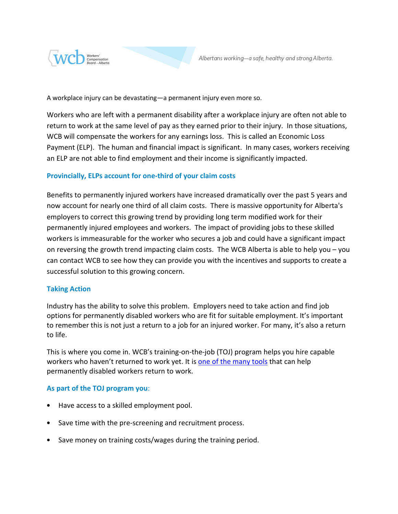

A workplace injury can be devastating—a permanent injury even more so.

Workers who are left with a permanent disability after a workplace injury are often not able to return to work at the same level of pay as they earned prior to their injury. In those situations, WCB will compensate the workers for any earnings loss. This is called an Economic Loss Payment (ELP). The human and financial impact is significant. In many cases, workers receiving an ELP are not able to find employment and their income is significantly impacted.

## Provincially, ELPs account for one-third of your claim costs

Benefits to permanently injured workers have increased dramatically over the past 5 years and now account for nearly one third of all claim costs. There is massive opportunity for Alberta's employers to correct this growing trend by providing long term modified work for their permanently injured employees and workers. The impact of providing jobs to these skilled workers is immeasurable for the worker who secures a job and could have a significant impact on reversing the growth trend impacting claim costs. The WCB Alberta is able to help you – you can contact WCB to see how they can provide you with the incentives and supports to create a successful solution to this growing concern.

## Taking Action

Industry has the ability to solve this problem. Employers need to take action and find job options for permanently disabled workers who are fit for suitable employment. It's important to remember this is not just a return to a job for an injured worker. For many, it's also a return to life.

This is where you come in. WCB's training-on-the-job (TOJ) program helps you hire capable workers who haven't returned to work yet. It is one of the many tools that can help permanently disabled workers return to work.

## As part of the TOJ program you:

- Have access to a skilled employment pool.
- Save time with the pre-screening and recruitment process.
- Save money on training costs/wages during the training period.